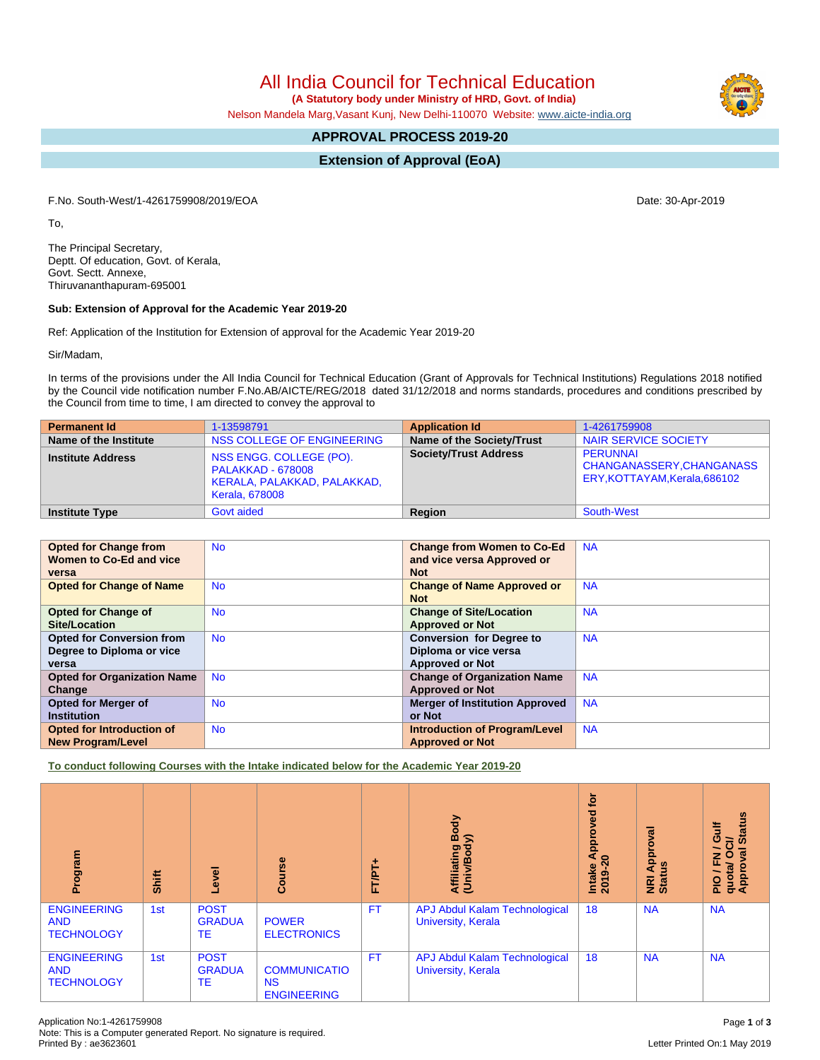All India Council for Technical Education

 **(A Statutory body under Ministry of HRD, Govt. of India)**

Nelson Mandela Marg,Vasant Kunj, New Delhi-110070 Website: [www.aicte-india.org](http://www.aicte-india.org)

# **APPROVAL PROCESS 2019-20**

**Extension of Approval (EoA)**

F.No. South-West/1-4261759908/2019/EOA Date: 30-Apr-2019

To,

The Principal Secretary, Deptt. Of education, Govt. of Kerala, Govt. Sectt. Annexe, Thiruvananthapuram-695001

#### **Sub: Extension of Approval for the Academic Year 2019-20**

Ref: Application of the Institution for Extension of approval for the Academic Year 2019-20

Sir/Madam,

In terms of the provisions under the All India Council for Technical Education (Grant of Approvals for Technical Institutions) Regulations 2018 notified by the Council vide notification number F.No.AB/AICTE/REG/2018 dated 31/12/2018 and norms standards, procedures and conditions prescribed by the Council from time to time, I am directed to convey the approval to

| <b>Permanent Id</b>      | 1-13598791                                                                                                  | <b>Application Id</b>        | 1-4261759908                                                                  |
|--------------------------|-------------------------------------------------------------------------------------------------------------|------------------------------|-------------------------------------------------------------------------------|
| Name of the Institute    | NSS COLLEGE OF ENGINEERING                                                                                  | Name of the Society/Trust    | NAIR SERVICE SOCIETY                                                          |
| <b>Institute Address</b> | NSS ENGG. COLLEGE (PO).<br><b>PALAKKAD - 678008</b><br>KERALA, PALAKKAD, PALAKKAD,<br><b>Kerala, 678008</b> | <b>Society/Trust Address</b> | <b>PERUNNAL</b><br>CHANGANASSERY, CHANGANASS<br>ERY, KOTTAYAM, Kerala, 686102 |
| <b>Institute Type</b>    | Govt aided                                                                                                  | <b>Region</b>                | South-West                                                                    |

| <b>Opted for Change from</b>       | <b>No</b> | <b>Change from Women to Co-Ed</b>     | <b>NA</b> |
|------------------------------------|-----------|---------------------------------------|-----------|
| Women to Co-Ed and vice            |           | and vice versa Approved or            |           |
| versa                              |           | <b>Not</b>                            |           |
| <b>Opted for Change of Name</b>    | <b>No</b> | <b>Change of Name Approved or</b>     | <b>NA</b> |
|                                    |           | <b>Not</b>                            |           |
| <b>Opted for Change of</b>         | <b>No</b> | <b>Change of Site/Location</b>        | <b>NA</b> |
| Site/Location                      |           | <b>Approved or Not</b>                |           |
| <b>Opted for Conversion from</b>   | <b>No</b> | <b>Conversion for Degree to</b>       | <b>NA</b> |
| Degree to Diploma or vice          |           | Diploma or vice versa                 |           |
| versa                              |           | <b>Approved or Not</b>                |           |
| <b>Opted for Organization Name</b> | <b>No</b> | <b>Change of Organization Name</b>    | <b>NA</b> |
| Change                             |           | <b>Approved or Not</b>                |           |
| <b>Opted for Merger of</b>         | <b>No</b> | <b>Merger of Institution Approved</b> | <b>NA</b> |
| <b>Institution</b>                 |           | or Not                                |           |
| <b>Opted for Introduction of</b>   | <b>No</b> | <b>Introduction of Program/Level</b>  | <b>NA</b> |
| <b>New Program/Level</b>           |           | <b>Approved or Not</b>                |           |

**To conduct following Courses with the Intake indicated below for the Academic Year 2019-20**

| rogram<br>ō                                           | Shift | Level                              | Course                                                 | FT/PT+    | Body<br>⋦<br>Affiliating<br>(Univ/Bodv                            | <b>b</b><br>yed<br>ē<br>윤<br>₹<br>$\bullet$<br>Intake<br>2019-2 | roval<br>Appr<br>g<br>NRI<br>Stat | <b>Status</b><br>Gulf<br>$\vec{c}$<br>∽<br>$\sigma$<br>$\circ$<br>준<br>quota/<br>Approv<br>$\frac{Q}{R}$ |
|-------------------------------------------------------|-------|------------------------------------|--------------------------------------------------------|-----------|-------------------------------------------------------------------|-----------------------------------------------------------------|-----------------------------------|----------------------------------------------------------------------------------------------------------|
| <b>ENGINEERING</b><br><b>AND</b><br><b>TECHNOLOGY</b> | 1st   | <b>POST</b><br><b>GRADUA</b><br>TE | <b>POWER</b><br><b>ELECTRONICS</b>                     | <b>FT</b> | <b>APJ Abdul Kalam Technological</b><br><b>University, Kerala</b> | 18                                                              | <b>NA</b>                         | <b>NA</b>                                                                                                |
| <b>ENGINEERING</b><br><b>AND</b><br><b>TECHNOLOGY</b> | 1st   | <b>POST</b><br><b>GRADUA</b><br>TE | <b>COMMUNICATIO</b><br><b>NS</b><br><b>ENGINEERING</b> | <b>FT</b> | <b>APJ Abdul Kalam Technological</b><br><b>University, Kerala</b> | 18                                                              | <b>NA</b>                         | <b>NA</b>                                                                                                |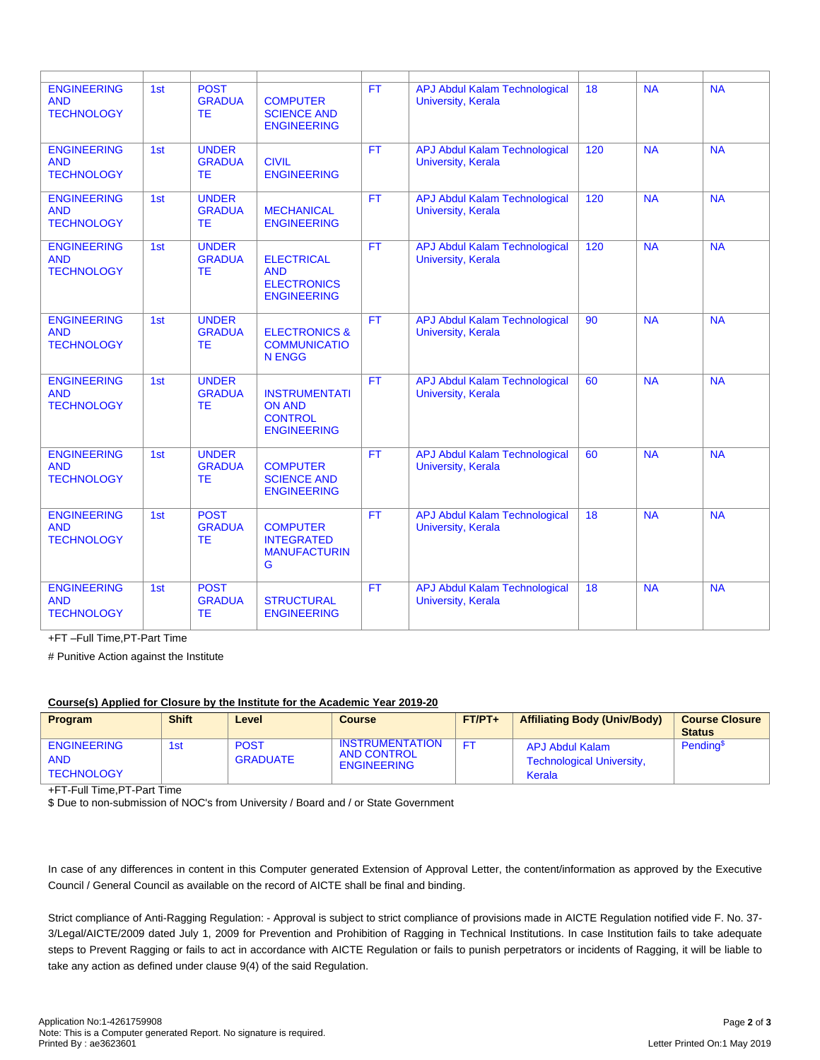| <b>ENGINEERING</b><br><b>AND</b><br><b>TECHNOLOGY</b> | 1st | <b>POST</b><br><b>GRADUA</b><br><b>TE</b>  | <b>COMPUTER</b><br><b>SCIENCE AND</b><br><b>ENGINEERING</b>                   | <b>FT</b> | <b>APJ Abdul Kalam Technological</b><br>University, Kerala        | 18  | <b>NA</b> | <b>NA</b> |
|-------------------------------------------------------|-----|--------------------------------------------|-------------------------------------------------------------------------------|-----------|-------------------------------------------------------------------|-----|-----------|-----------|
| <b>ENGINEERING</b><br><b>AND</b><br><b>TECHNOLOGY</b> | 1st | <b>UNDER</b><br><b>GRADUA</b><br><b>TE</b> | <b>CIVIL</b><br><b>ENGINEERING</b>                                            | <b>FT</b> | <b>APJ Abdul Kalam Technological</b><br><b>University, Kerala</b> | 120 | <b>NA</b> | <b>NA</b> |
| <b>ENGINEERING</b><br><b>AND</b><br><b>TECHNOLOGY</b> | 1st | <b>UNDER</b><br><b>GRADUA</b><br><b>TE</b> | <b>MECHANICAL</b><br><b>ENGINEERING</b>                                       | <b>FT</b> | <b>APJ Abdul Kalam Technological</b><br>University, Kerala        | 120 | <b>NA</b> | <b>NA</b> |
| <b>ENGINEERING</b><br><b>AND</b><br><b>TECHNOLOGY</b> | 1st | <b>UNDER</b><br><b>GRADUA</b><br><b>TE</b> | <b>ELECTRICAL</b><br><b>AND</b><br><b>ELECTRONICS</b><br><b>ENGINEERING</b>   | FT        | <b>APJ Abdul Kalam Technological</b><br><b>University, Kerala</b> | 120 | <b>NA</b> | NA        |
| <b>ENGINEERING</b><br><b>AND</b><br><b>TECHNOLOGY</b> | 1st | <b>UNDER</b><br><b>GRADUA</b><br><b>TE</b> | <b>ELECTRONICS &amp;</b><br><b>COMMUNICATIO</b><br><b>N ENGG</b>              | FT        | <b>APJ Abdul Kalam Technological</b><br><b>University, Kerala</b> | 90  | <b>NA</b> | NA        |
| <b>ENGINEERING</b><br><b>AND</b><br><b>TECHNOLOGY</b> | 1st | <b>UNDER</b><br><b>GRADUA</b><br><b>TE</b> | <b>INSTRUMENTATI</b><br><b>ON AND</b><br><b>CONTROL</b><br><b>ENGINEERING</b> | <b>FT</b> | <b>APJ Abdul Kalam Technological</b><br><b>University, Kerala</b> | 60  | <b>NA</b> | <b>NA</b> |
| <b>ENGINEERING</b><br><b>AND</b><br><b>TECHNOLOGY</b> | 1st | <b>UNDER</b><br><b>GRADUA</b><br><b>TE</b> | <b>COMPUTER</b><br><b>SCIENCE AND</b><br><b>ENGINEERING</b>                   | <b>FT</b> | <b>APJ Abdul Kalam Technological</b><br><b>University, Kerala</b> | 60  | <b>NA</b> | <b>NA</b> |
| <b>ENGINEERING</b><br><b>AND</b><br><b>TECHNOLOGY</b> | 1st | <b>POST</b><br><b>GRADUA</b><br>TЕ         | <b>COMPUTER</b><br><b>INTEGRATED</b><br><b>MANUFACTURIN</b><br>G              | <b>FT</b> | <b>APJ Abdul Kalam Technological</b><br>University, Kerala        | 18  | <b>NA</b> | <b>NA</b> |
| <b>ENGINEERING</b><br><b>AND</b><br><b>TECHNOLOGY</b> | 1st | <b>POST</b><br><b>GRADUA</b><br><b>TF</b>  | <b>STRUCTURAL</b><br><b>ENGINEERING</b>                                       | <b>FT</b> | <b>APJ Abdul Kalam Technological</b><br>University, Kerala        | 18  | <b>NA</b> | <b>NA</b> |

+FT –Full Time,PT-Part Time

# Punitive Action against the Institute

# **Course(s) Applied for Closure by the Institute for the Academic Year 2019-20**

| Program                                               | <b>Shift</b> | Level                          | <b>Course</b>                                                      | $FT/PT+$ | <b>Affiliating Body (Univ/Body)</b>                                  | <b>Course Closure</b><br><b>Status</b> |
|-------------------------------------------------------|--------------|--------------------------------|--------------------------------------------------------------------|----------|----------------------------------------------------------------------|----------------------------------------|
| <b>ENGINEERING</b><br><b>AND</b><br><b>TECHNOLOGY</b> | 1st          | <b>POST</b><br><b>GRADUATE</b> | <b>INSTRUMENTATION</b><br><b>AND CONTROL</b><br><b>ENGINEERING</b> | FT       | <b>APJ Abdul Kalam</b><br><b>Technological University,</b><br>Kerala | Pending <sup>\$</sup>                  |

+FT-Full Time,PT-Part Time

\$ Due to non-submission of NOC's from University / Board and / or State Government

In case of any differences in content in this Computer generated Extension of Approval Letter, the content/information as approved by the Executive Council / General Council as available on the record of AICTE shall be final and binding.

Strict compliance of Anti-Ragging Regulation: - Approval is subject to strict compliance of provisions made in AICTE Regulation notified vide F. No. 37- 3/Legal/AICTE/2009 dated July 1, 2009 for Prevention and Prohibition of Ragging in Technical Institutions. In case Institution fails to take adequate steps to Prevent Ragging or fails to act in accordance with AICTE Regulation or fails to punish perpetrators or incidents of Ragging, it will be liable to take any action as defined under clause 9(4) of the said Regulation.